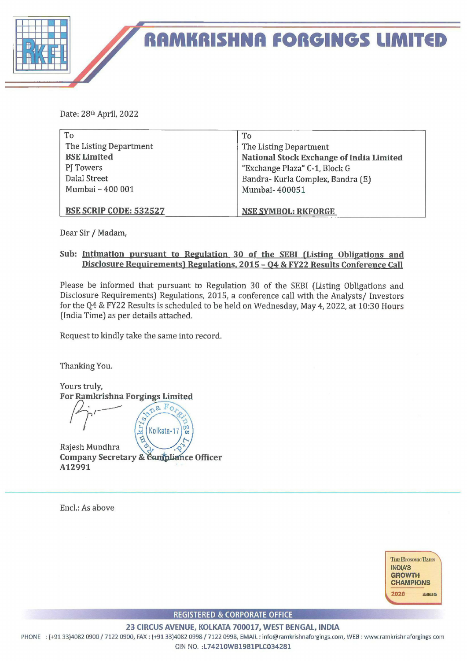

 RAMKRISHNA FORGINGS LIMITED

Date: 28% April, 2022

| To                            | To                                       |
|-------------------------------|------------------------------------------|
| The Listing Department        | The Listing Department                   |
| <b>BSE Limited</b>            | National Stock Exchange of India Limited |
| PJ Towers                     | "Exchange Plaza" C-1, Block G            |
| Dalal Street                  | Bandra- Kurla Complex, Bandra (E)        |
| Mumbai - 400 001              | Mumbai-400051                            |
|                               |                                          |
| <b>BSE SCRIP CODE: 532527</b> | <b>NSE SYMBOL: RKFORGE</b>               |

Dear Sir / Madam,

## Sub: Intimation pursuant to Regulation 30 of the SEBI (Listing Obligations and Disclosure Requirements) Regulations, 2015 - 04 & FY22 Results Conference Call

Please be informed that pursuant to Regulation 30 of the SEBI (Listing Obligations and Disclosure Requirements) Regulations, 2015, a conference call with the Analysts/ Investors for the Q4 & FY22 Results is scheduled to be held on Wednesday, May 4, 2022, at 10:30 Hours (India Time) as per details attached.

Request to kindly take the same into record.

Thanking You.



Encl.: As above



REGISTERED & CORPORATE OFFICE

23 CIRCUS AVENUE, KOLKATA 700017, WEST BENGAL, INDIA

PHONE : {+91 33}4082 0900 / 7122 0900, FAX : (+91 33)4082 0998 / 7122 0998, EMAIL: info@ramkrishnaforgings.com, WEB : www.ramkrishnaforgings.com

CIN NO. :L74210WB1981PLC034281